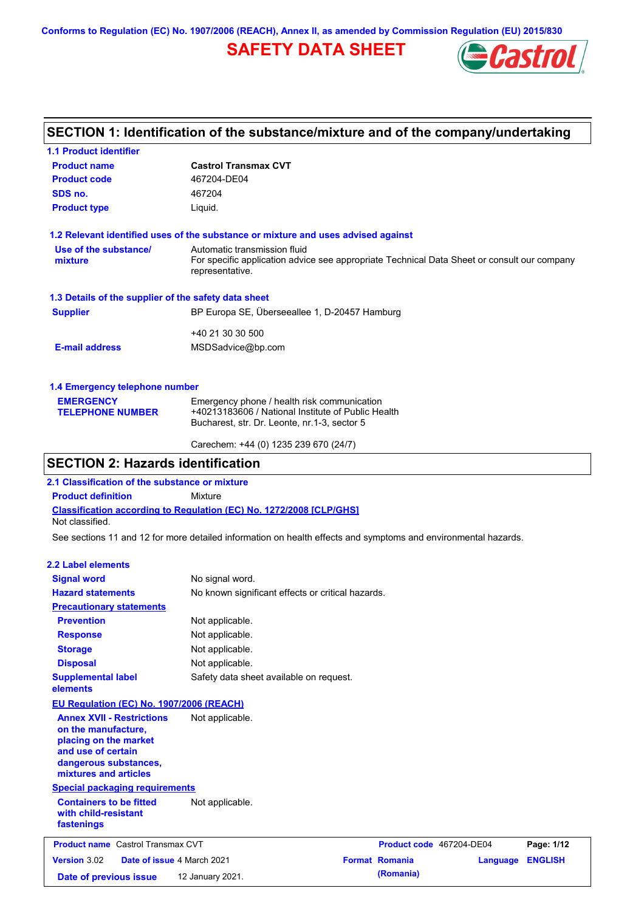**Conforms to Regulation (EC) No. 1907/2006 (REACH), Annex II, as amended by Commission Regulation (EU) 2015/830**

# **SAFETY DATA SHEET**



## **SECTION 1: Identification of the substance/mixture and of the company/undertaking**

| <b>1.1 Product identifier</b>                        |                                                                                                                                                |
|------------------------------------------------------|------------------------------------------------------------------------------------------------------------------------------------------------|
| <b>Product name</b>                                  | <b>Castrol Transmax CVT</b>                                                                                                                    |
| <b>Product code</b>                                  | 467204-DE04                                                                                                                                    |
| SDS no.                                              | 467204                                                                                                                                         |
| <b>Product type</b>                                  | Liquid.                                                                                                                                        |
|                                                      | 1.2 Relevant identified uses of the substance or mixture and uses advised against                                                              |
| Use of the substance/<br>mixture                     | Automatic transmission fluid<br>For specific application advice see appropriate Technical Data Sheet or consult our company<br>representative. |
| 1.3 Details of the supplier of the safety data sheet |                                                                                                                                                |
| <b>Supplier</b>                                      | BP Europa SE, Überseeallee 1, D-20457 Hamburg                                                                                                  |
|                                                      | +40 21 30 30 500                                                                                                                               |
| <b>E-mail address</b>                                | MSDSadvice@bp.com                                                                                                                              |
| 1.4 Emergency telephone number                       |                                                                                                                                                |
| <b>EMERGENCY</b><br><b>TELEPHONE NUMBER</b>          | Emergency phone / health risk communication<br>+40213183606 / National Institute of Public Health                                              |

| Carechem: +44 (0) 1235 239 670 (24/7) |  |
|---------------------------------------|--|
|                                       |  |

## **SECTION 2: Hazards identification**

**2.1 Classification of the substance or mixture**

**Product definition** Mixture

**Classification according to Regulation (EC) No. 1272/2008 [CLP/GHS]** Not classified.

See sections 11 and 12 for more detailed information on health effects and symptoms and environmental hazards.

Bucharest, str. Dr. Leonte, nr.1-3, sector 5

### **2.2 Label elements**

| <b>Signal word</b>                                                                                                                                       | No signal word.                                   |                          |          |                |
|----------------------------------------------------------------------------------------------------------------------------------------------------------|---------------------------------------------------|--------------------------|----------|----------------|
| <b>Hazard statements</b>                                                                                                                                 | No known significant effects or critical hazards. |                          |          |                |
| <b>Precautionary statements</b>                                                                                                                          |                                                   |                          |          |                |
| <b>Prevention</b>                                                                                                                                        | Not applicable.                                   |                          |          |                |
| <b>Response</b>                                                                                                                                          | Not applicable.                                   |                          |          |                |
| <b>Storage</b>                                                                                                                                           | Not applicable.                                   |                          |          |                |
| <b>Disposal</b>                                                                                                                                          | Not applicable.                                   |                          |          |                |
| <b>Supplemental label</b><br>elements                                                                                                                    | Safety data sheet available on request.           |                          |          |                |
| <b>EU Regulation (EC) No. 1907/2006 (REACH)</b>                                                                                                          |                                                   |                          |          |                |
| <b>Annex XVII - Restrictions</b><br>on the manufacture,<br>placing on the market<br>and use of certain<br>dangerous substances,<br>mixtures and articles | Not applicable.                                   |                          |          |                |
| <b>Special packaging requirements</b>                                                                                                                    |                                                   |                          |          |                |
| <b>Containers to be fitted</b><br>with child-resistant<br>fastenings                                                                                     | Not applicable.                                   |                          |          |                |
| <b>Product name</b> Castrol Transmax CVT                                                                                                                 |                                                   | Product code 467204-DE04 |          | Page: 1/12     |
| Version 3.02<br>Date of issue 4 March 2021                                                                                                               |                                                   | <b>Format Romania</b>    | Language | <b>ENGLISH</b> |
| Date of previous issue                                                                                                                                   | 12 January 2021.                                  | (Romania)                |          |                |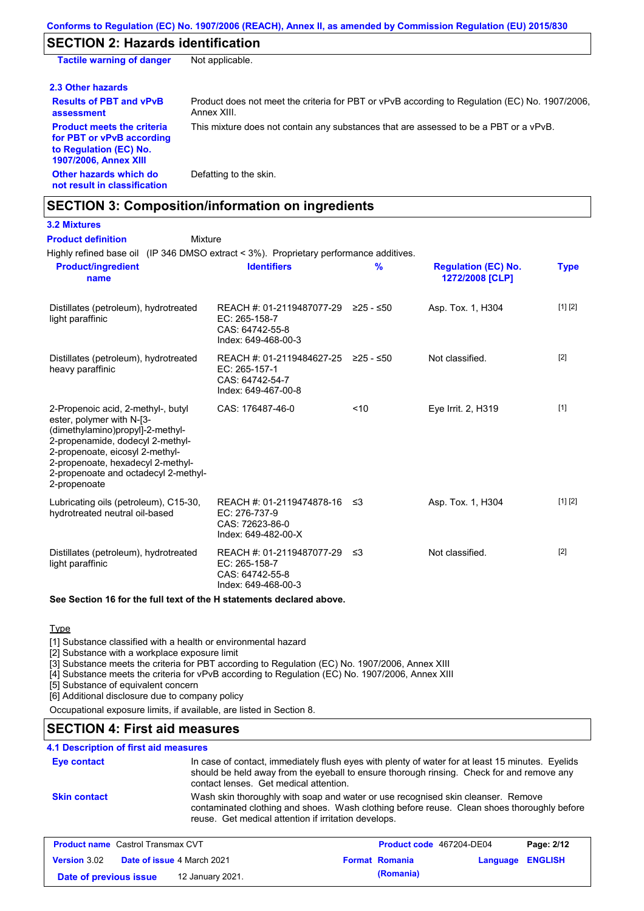### **SECTION 2: Hazards identification**

| <b>Tactile warning of danger</b>                                                                                         | Not applicable.                                                                                               |
|--------------------------------------------------------------------------------------------------------------------------|---------------------------------------------------------------------------------------------------------------|
| 2.3 Other hazards                                                                                                        |                                                                                                               |
| <b>Results of PBT and vPvB</b><br>assessment                                                                             | Product does not meet the criteria for PBT or vPvB according to Regulation (EC) No. 1907/2006.<br>Annex XIII. |
| <b>Product meets the criteria</b><br>for PBT or vPvB according<br>to Regulation (EC) No.<br><b>1907/2006, Annex XIII</b> | This mixture does not contain any substances that are assessed to be a PBT or a vPvB.                         |
| Other hazards which do<br>not result in classification                                                                   | Defatting to the skin.                                                                                        |

## **SECTION 3: Composition/information on ingredients**

**3.2 Mixtures**

#### Mixture **Product definition**

Highly refined base oil (IP 346 DMSO extract < 3%). Proprietary performance additives.

| <b>Product/ingredient</b><br>name                                                                                                                                                                                                                                       | <b>Identifiers</b>                                                                               | $\frac{9}{6}$ | <b>Regulation (EC) No.</b><br>1272/2008 [CLP] | <b>Type</b> |
|-------------------------------------------------------------------------------------------------------------------------------------------------------------------------------------------------------------------------------------------------------------------------|--------------------------------------------------------------------------------------------------|---------------|-----------------------------------------------|-------------|
| Distillates (petroleum), hydrotreated<br>light paraffinic                                                                                                                                                                                                               | REACH #: 01-2119487077-29 ≥25 - ≤50<br>$EC: 265-158-7$<br>CAS: 64742-55-8<br>Index: 649-468-00-3 |               | Asp. Tox. 1, H304                             | [1] [2]     |
| Distillates (petroleum), hydrotreated<br>heavy paraffinic                                                                                                                                                                                                               | REACH #: 01-2119484627-25<br>EC: 265-157-1<br>CAS: 64742-54-7<br>Index: 649-467-00-8             | $≥25 - ≤50$   | Not classified.                               | $[2]$       |
| 2-Propenoic acid, 2-methyl-, butyl<br>ester, polymer with N-[3-<br>(dimethylamino)propyl]-2-methyl-<br>2-propenamide, dodecyl 2-methyl-<br>2-propenoate, eicosyl 2-methyl-<br>2-propenoate, hexadecyl 2-methyl-<br>2-propenoate and octadecyl 2-methyl-<br>2-propenoate | CAS: 176487-46-0                                                                                 | ~10           | Eye Irrit. 2, H319                            | $[1]$       |
| Lubricating oils (petroleum), C15-30,<br>hydrotreated neutral oil-based                                                                                                                                                                                                 | REACH #: 01-2119474878-16 ≤3<br>EC: 276-737-9<br>CAS: 72623-86-0<br>Index: 649-482-00-X          |               | Asp. Tox. 1, H304                             | [1] [2]     |
| Distillates (petroleum), hydrotreated<br>light paraffinic                                                                                                                                                                                                               | REACH #: 01-2119487077-29<br>EC: 265-158-7<br>CAS: 64742-55-8<br>Index: 649-468-00-3             | ב≥            | Not classified.                               | $[2]$       |

### **See Section 16 for the full text of the H statements declared above.**

### **Type**

[1] Substance classified with a health or environmental hazard

[2] Substance with a workplace exposure limit

[3] Substance meets the criteria for PBT according to Regulation (EC) No. 1907/2006, Annex XIII

[4] Substance meets the criteria for vPvB according to Regulation (EC) No. 1907/2006, Annex XIII

[5] Substance of equivalent concern

[6] Additional disclosure due to company policy

Occupational exposure limits, if available, are listed in Section 8.

## **SECTION 4: First aid measures**

### **4.1 Description of first aid measures**

| <b>Eye contact</b>  | In case of contact, immediately flush eyes with plenty of water for at least 15 minutes. Eyelids<br>should be held away from the eyeball to ensure thorough rinsing. Check for and remove any<br>contact lenses. Get medical attention. |
|---------------------|-----------------------------------------------------------------------------------------------------------------------------------------------------------------------------------------------------------------------------------------|
| <b>Skin contact</b> | Wash skin thoroughly with soap and water or use recognised skin cleanser. Remove<br>contaminated clothing and shoes. Wash clothing before reuse. Clean shoes thoroughly before<br>reuse. Get medical attention if irritation develops.  |

| <b>Product name</b> Castrol Transmax CVT |                                   |                       | Product code 467204-DE04 | Page: 2/12 |
|------------------------------------------|-----------------------------------|-----------------------|--------------------------|------------|
| <b>Version 3.02</b>                      | <b>Date of issue 4 March 2021</b> | <b>Format Romania</b> | Language ENGLISH         |            |
| Date of previous issue                   | 12 January 2021.                  | (Romania)             |                          |            |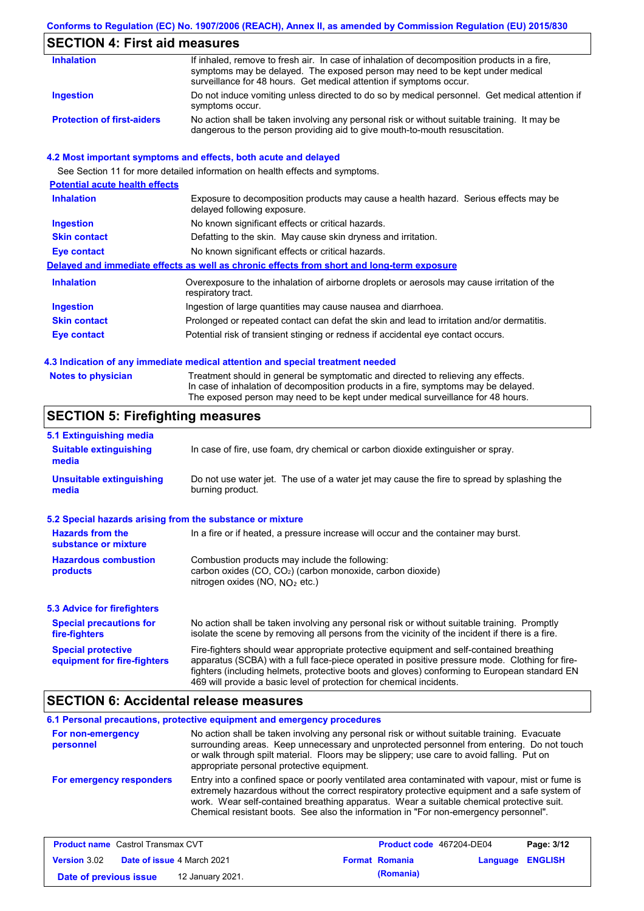### **Conforms to Regulation (EC) No. 1907/2006 (REACH), Annex II, as amended by Commission Regulation (EU) 2015/830**

# **SECTION 4: First aid measures**

| <b>Inhalation</b>                 | If inhaled, remove to fresh air. In case of inhalation of decomposition products in a fire,<br>symptoms may be delayed. The exposed person may need to be kept under medical<br>surveillance for 48 hours. Get medical attention if symptoms occur. |
|-----------------------------------|-----------------------------------------------------------------------------------------------------------------------------------------------------------------------------------------------------------------------------------------------------|
| Ingestion                         | Do not induce vomiting unless directed to do so by medical personnel. Get medical attention if<br>symptoms occur.                                                                                                                                   |
| <b>Protection of first-aiders</b> | No action shall be taken involving any personal risk or without suitable training. It may be<br>dangerous to the person providing aid to give mouth-to-mouth resuscitation.                                                                         |

### **4.2 Most important symptoms and effects, both acute and delayed**

See Section 11 for more detailed information on health effects and symptoms.

| <b>Potential acute health effects</b> |                                                                                                                     |
|---------------------------------------|---------------------------------------------------------------------------------------------------------------------|
| <b>Inhalation</b>                     | Exposure to decomposition products may cause a health hazard. Serious effects may be<br>delayed following exposure. |
| <b>Ingestion</b>                      | No known significant effects or critical hazards.                                                                   |
| <b>Skin contact</b>                   | Defatting to the skin. May cause skin dryness and irritation.                                                       |
| Eye contact                           | No known significant effects or critical hazards.                                                                   |
|                                       | Delayed and immediate effects as well as chronic effects from short and long-term exposure                          |
| <b>Inhalation</b>                     | Overexposure to the inhalation of airborne droplets or aerosols may cause irritation of the<br>respiratory tract.   |
| <b>Ingestion</b>                      | Ingestion of large quantities may cause nausea and diarrhoea.                                                       |
| <b>Skin contact</b>                   | Prolonged or repeated contact can defat the skin and lead to irritation and/or dermatitis.                          |
| Eye contact                           | Potential risk of transient stinging or redness if accidental eye contact occurs.                                   |
|                                       |                                                                                                                     |

### **4.3 Indication of any immediate medical attention and special treatment needed**

**Notes to physician** Treatment should in general be symptomatic and directed to relieving any effects. In case of inhalation of decomposition products in a fire, symptoms may be delayed. The exposed person may need to be kept under medical surveillance for 48 hours.

## **SECTION 5: Firefighting measures**

| 5.1 Extinguishing media                                                                                                                                                                       |                                                                                                                                                                                                                                                                                                                                                                   |  |
|-----------------------------------------------------------------------------------------------------------------------------------------------------------------------------------------------|-------------------------------------------------------------------------------------------------------------------------------------------------------------------------------------------------------------------------------------------------------------------------------------------------------------------------------------------------------------------|--|
| In case of fire, use foam, dry chemical or carbon dioxide extinguisher or spray.<br><b>Suitable extinguishing</b><br>media                                                                    |                                                                                                                                                                                                                                                                                                                                                                   |  |
| Do not use water jet. The use of a water jet may cause the fire to spread by splashing the<br><b>Unsuitable extinguishing</b><br>burning product.<br>media                                    |                                                                                                                                                                                                                                                                                                                                                                   |  |
| 5.2 Special hazards arising from the substance or mixture                                                                                                                                     |                                                                                                                                                                                                                                                                                                                                                                   |  |
| <b>Hazards from the</b><br>substance or mixture                                                                                                                                               | In a fire or if heated, a pressure increase will occur and the container may burst.                                                                                                                                                                                                                                                                               |  |
| <b>Hazardous combustion</b><br>Combustion products may include the following:<br>carbon oxides $(CO, CO2)$ (carbon monoxide, carbon dioxide)<br>products<br>nitrogen oxides (NO, $NQ_2$ etc.) |                                                                                                                                                                                                                                                                                                                                                                   |  |
| 5.3 Advice for firefighters                                                                                                                                                                   |                                                                                                                                                                                                                                                                                                                                                                   |  |
| <b>Special precautions for</b><br>fire-fighters                                                                                                                                               | No action shall be taken involving any personal risk or without suitable training. Promptly<br>isolate the scene by removing all persons from the vicinity of the incident if there is a fire.                                                                                                                                                                    |  |
| <b>Special protective</b><br>equipment for fire-fighters                                                                                                                                      | Fire-fighters should wear appropriate protective equipment and self-contained breathing<br>apparatus (SCBA) with a full face-piece operated in positive pressure mode. Clothing for fire-<br>fighters (including helmets, protective boots and gloves) conforming to European standard EN<br>469 will provide a basic level of protection for chemical incidents. |  |

### **SECTION 6: Accidental release measures**

|                                | 6.1 Personal precautions, protective equipment and emergency procedures                                                                                                                                                                                                                                                                                                              |
|--------------------------------|--------------------------------------------------------------------------------------------------------------------------------------------------------------------------------------------------------------------------------------------------------------------------------------------------------------------------------------------------------------------------------------|
| For non-emergency<br>personnel | No action shall be taken involving any personal risk or without suitable training. Evacuate<br>surrounding areas. Keep unnecessary and unprotected personnel from entering. Do not touch<br>or walk through spilt material. Floors may be slippery; use care to avoid falling. Put on<br>appropriate personal protective equipment.                                                  |
| For emergency responders       | Entry into a confined space or poorly ventilated area contaminated with vapour, mist or fume is<br>extremely hazardous without the correct respiratory protective equipment and a safe system of<br>work. Wear self-contained breathing apparatus. Wear a suitable chemical protective suit.<br>Chemical resistant boots. See also the information in "For non-emergency personnel". |

| <b>Product name</b> Castrol Transmax CVT |  | <b>Product code</b> 467204-DE04   |  | Page: 3/12            |                  |  |
|------------------------------------------|--|-----------------------------------|--|-----------------------|------------------|--|
| <b>Version 3.02</b>                      |  | <b>Date of issue 4 March 2021</b> |  | <b>Format Romania</b> | Language ENGLISH |  |
| Date of previous issue                   |  | 12 January 2021.                  |  | (Romania)             |                  |  |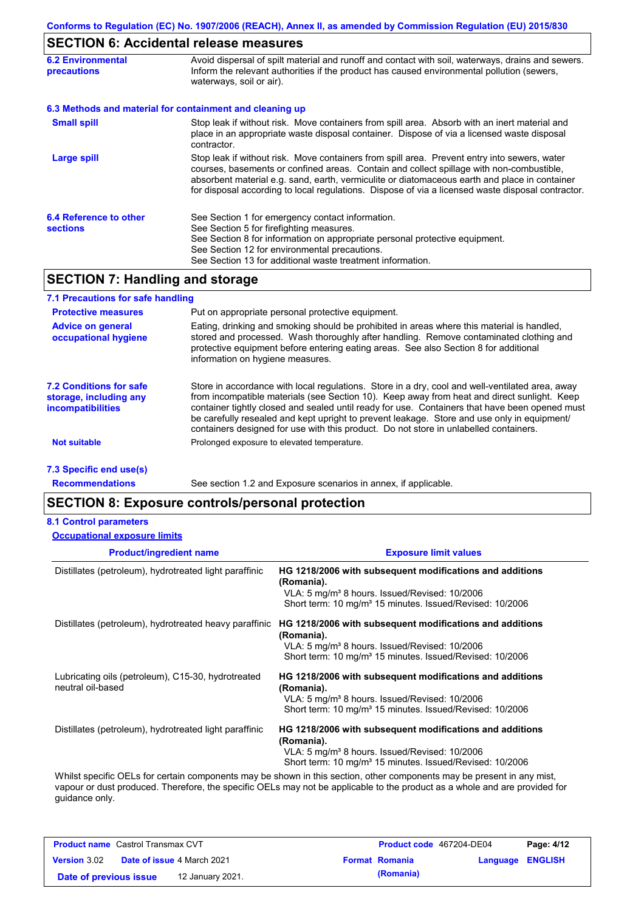# **SECTION 6: Accidental release measures**

| <b>6.2 Environmental</b><br><b>precautions</b> | Avoid dispersal of spilt material and runoff and contact with soil, waterways, drains and sewers.<br>Inform the relevant authorities if the product has caused environmental pollution (sewers,<br>waterways, soil or air).                                                                                                                                                                    |  |
|------------------------------------------------|------------------------------------------------------------------------------------------------------------------------------------------------------------------------------------------------------------------------------------------------------------------------------------------------------------------------------------------------------------------------------------------------|--|
|                                                | 6.3 Methods and material for containment and cleaning up                                                                                                                                                                                                                                                                                                                                       |  |
| <b>Small spill</b>                             | Stop leak if without risk. Move containers from spill area. Absorb with an inert material and<br>place in an appropriate waste disposal container. Dispose of via a licensed waste disposal<br>contractor.                                                                                                                                                                                     |  |
| Large spill                                    | Stop leak if without risk. Move containers from spill area. Prevent entry into sewers, water<br>courses, basements or confined areas. Contain and collect spillage with non-combustible,<br>absorbent material e.g. sand, earth, vermiculite or diatomaceous earth and place in container<br>for disposal according to local regulations. Dispose of via a licensed waste disposal contractor. |  |
| 6.4 Reference to other<br><b>sections</b>      | See Section 1 for emergency contact information.<br>See Section 5 for firefighting measures.<br>See Section 8 for information on appropriate personal protective equipment.<br>See Section 12 for environmental precautions.<br>See Section 13 for additional waste treatment information.                                                                                                     |  |

## **SECTION 7: Handling and storage**

| 7.1 Precautions for safe handling                                                    |                                                                                                                                                                                                                                                                                                                                                                                                                                                                                          |
|--------------------------------------------------------------------------------------|------------------------------------------------------------------------------------------------------------------------------------------------------------------------------------------------------------------------------------------------------------------------------------------------------------------------------------------------------------------------------------------------------------------------------------------------------------------------------------------|
| <b>Protective measures</b>                                                           | Put on appropriate personal protective equipment.                                                                                                                                                                                                                                                                                                                                                                                                                                        |
| <b>Advice on general</b><br>occupational hygiene                                     | Eating, drinking and smoking should be prohibited in areas where this material is handled,<br>stored and processed. Wash thoroughly after handling. Remove contaminated clothing and<br>protective equipment before entering eating areas. See also Section 8 for additional<br>information on hygiene measures.                                                                                                                                                                         |
| <b>7.2 Conditions for safe</b><br>storage, including any<br><i>incompatibilities</i> | Store in accordance with local requlations. Store in a dry, cool and well-ventilated area, away<br>from incompatible materials (see Section 10). Keep away from heat and direct sunlight. Keep<br>container tightly closed and sealed until ready for use. Containers that have been opened must<br>be carefully resealed and kept upright to prevent leakage. Store and use only in equipment/<br>containers designed for use with this product. Do not store in unlabelled containers. |
| <b>Not suitable</b>                                                                  | Prolonged exposure to elevated temperature.                                                                                                                                                                                                                                                                                                                                                                                                                                              |
| 7.3 Specific end use(s)                                                              |                                                                                                                                                                                                                                                                                                                                                                                                                                                                                          |

**Recommendations**

See section 1.2 and Exposure scenarios in annex, if applicable.

## **SECTION 8: Exposure controls/personal protection**

### **8.1 Control parameters**

|  | <b>Occupational exposure limits</b> |  |
|--|-------------------------------------|--|
|--|-------------------------------------|--|

| <b>Product/ingredient name</b>                                          | <b>Exposure limit values</b>                                                                                                                                                                                |
|-------------------------------------------------------------------------|-------------------------------------------------------------------------------------------------------------------------------------------------------------------------------------------------------------|
| Distillates (petroleum), hydrotreated light paraffinic                  | HG 1218/2006 with subsequent modifications and additions<br>(Romania).<br>VLA: 5 mg/m <sup>3</sup> 8 hours. Issued/Revised: 10/2006<br>Short term: 10 mg/m <sup>3</sup> 15 minutes. Issued/Revised: 10/2006 |
| Distillates (petroleum), hydrotreated heavy paraffinic                  | HG 1218/2006 with subsequent modifications and additions<br>(Romania).<br>VLA: 5 mg/m <sup>3</sup> 8 hours. Issued/Revised: 10/2006<br>Short term: 10 mg/m <sup>3</sup> 15 minutes. Issued/Revised: 10/2006 |
| Lubricating oils (petroleum), C15-30, hydrotreated<br>neutral oil-based | HG 1218/2006 with subsequent modifications and additions<br>(Romania).<br>VLA: 5 mg/m <sup>3</sup> 8 hours. Issued/Revised: 10/2006<br>Short term: 10 mg/m <sup>3</sup> 15 minutes. Issued/Revised: 10/2006 |
| Distillates (petroleum), hydrotreated light paraffinic                  | HG 1218/2006 with subsequent modifications and additions<br>(Romania).<br>VLA: 5 mg/m <sup>3</sup> 8 hours. Issued/Revised: 10/2006<br>Short term: 10 mg/m <sup>3</sup> 15 minutes. Issued/Revised: 10/2006 |
|                                                                         | Whilst specific OELs for certain components may be shown in this section, other components may be present in any mist,                                                                                      |

vapour or dust produced. Therefore, the specific OELs may not be applicable to the product as a whole and are provided for guidance only.

| <b>Product name</b> Castrol Transmax CVT |  | Product code 467204-DE04          |  | Page: 4/12            |                         |  |
|------------------------------------------|--|-----------------------------------|--|-----------------------|-------------------------|--|
| <b>Version</b> 3.02                      |  | <b>Date of issue 4 March 2021</b> |  | <b>Format Romania</b> | <b>Language ENGLISH</b> |  |
| Date of previous issue                   |  | 12 January 2021.                  |  | (Romania)             |                         |  |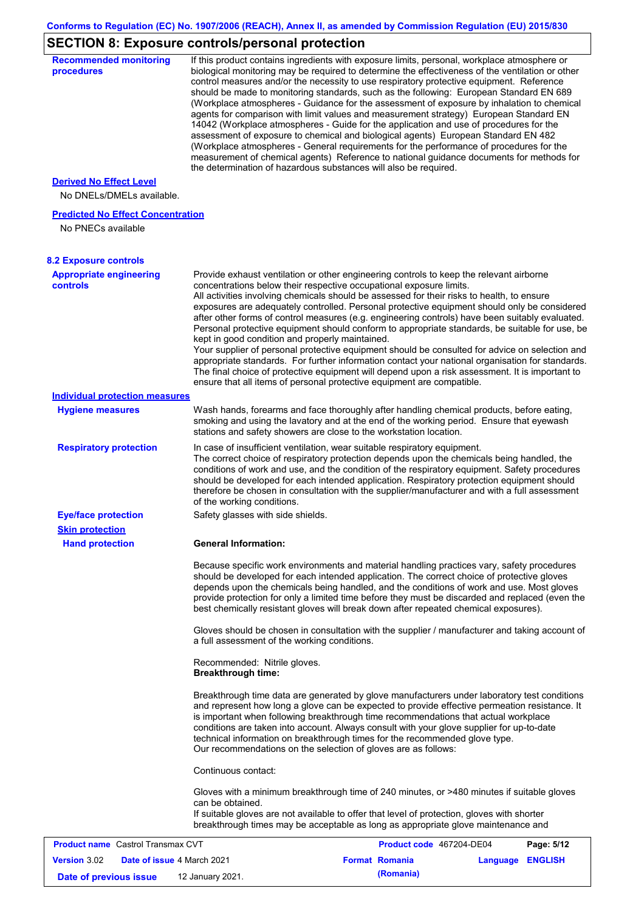# **SECTION 8: Exposure controls/personal protection**

| <b>Recommended monitoring</b><br>procedures                    |                                                           | If this product contains ingredients with exposure limits, personal, workplace atmosphere or<br>biological monitoring may be required to determine the effectiveness of the ventilation or other<br>control measures and/or the necessity to use respiratory protective equipment. Reference<br>should be made to monitoring standards, such as the following: European Standard EN 689<br>(Workplace atmospheres - Guidance for the assessment of exposure by inhalation to chemical<br>agents for comparison with limit values and measurement strategy) European Standard EN<br>14042 (Workplace atmospheres - Guide for the application and use of procedures for the<br>assessment of exposure to chemical and biological agents) European Standard EN 482<br>(Workplace atmospheres - General requirements for the performance of procedures for the<br>measurement of chemical agents) Reference to national guidance documents for methods for<br>the determination of hazardous substances will also be required. |                  |            |
|----------------------------------------------------------------|-----------------------------------------------------------|----------------------------------------------------------------------------------------------------------------------------------------------------------------------------------------------------------------------------------------------------------------------------------------------------------------------------------------------------------------------------------------------------------------------------------------------------------------------------------------------------------------------------------------------------------------------------------------------------------------------------------------------------------------------------------------------------------------------------------------------------------------------------------------------------------------------------------------------------------------------------------------------------------------------------------------------------------------------------------------------------------------------------|------------------|------------|
| <b>Derived No Effect Level</b><br>No DNELs/DMELs available.    |                                                           |                                                                                                                                                                                                                                                                                                                                                                                                                                                                                                                                                                                                                                                                                                                                                                                                                                                                                                                                                                                                                            |                  |            |
| <b>Predicted No Effect Concentration</b><br>No PNECs available |                                                           |                                                                                                                                                                                                                                                                                                                                                                                                                                                                                                                                                                                                                                                                                                                                                                                                                                                                                                                                                                                                                            |                  |            |
| <b>8.2 Exposure controls</b>                                   |                                                           |                                                                                                                                                                                                                                                                                                                                                                                                                                                                                                                                                                                                                                                                                                                                                                                                                                                                                                                                                                                                                            |                  |            |
| <b>Appropriate engineering</b><br>controls                     | kept in good condition and properly maintained.           | Provide exhaust ventilation or other engineering controls to keep the relevant airborne<br>concentrations below their respective occupational exposure limits.<br>All activities involving chemicals should be assessed for their risks to health, to ensure<br>exposures are adequately controlled. Personal protective equipment should only be considered<br>after other forms of control measures (e.g. engineering controls) have been suitably evaluated.<br>Personal protective equipment should conform to appropriate standards, be suitable for use, be<br>Your supplier of personal protective equipment should be consulted for advice on selection and<br>appropriate standards. For further information contact your national organisation for standards.<br>The final choice of protective equipment will depend upon a risk assessment. It is important to<br>ensure that all items of personal protective equipment are compatible.                                                                       |                  |            |
| <b>Individual protection measures</b>                          |                                                           |                                                                                                                                                                                                                                                                                                                                                                                                                                                                                                                                                                                                                                                                                                                                                                                                                                                                                                                                                                                                                            |                  |            |
| <b>Hygiene measures</b>                                        |                                                           | Wash hands, forearms and face thoroughly after handling chemical products, before eating,<br>smoking and using the lavatory and at the end of the working period. Ensure that eyewash<br>stations and safety showers are close to the workstation location.                                                                                                                                                                                                                                                                                                                                                                                                                                                                                                                                                                                                                                                                                                                                                                |                  |            |
| <b>Respiratory protection</b>                                  | of the working conditions.                                | In case of insufficient ventilation, wear suitable respiratory equipment.<br>The correct choice of respiratory protection depends upon the chemicals being handled, the<br>conditions of work and use, and the condition of the respiratory equipment. Safety procedures<br>should be developed for each intended application. Respiratory protection equipment should<br>therefore be chosen in consultation with the supplier/manufacturer and with a full assessment                                                                                                                                                                                                                                                                                                                                                                                                                                                                                                                                                    |                  |            |
| <b>Eye/face protection</b><br><b>Skin protection</b>           | Safety glasses with side shields.                         |                                                                                                                                                                                                                                                                                                                                                                                                                                                                                                                                                                                                                                                                                                                                                                                                                                                                                                                                                                                                                            |                  |            |
| <b>Hand protection</b>                                         | <b>General Information:</b>                               |                                                                                                                                                                                                                                                                                                                                                                                                                                                                                                                                                                                                                                                                                                                                                                                                                                                                                                                                                                                                                            |                  |            |
|                                                                |                                                           | Because specific work environments and material handling practices vary, safety procedures<br>should be developed for each intended application. The correct choice of protective gloves<br>depends upon the chemicals being handled, and the conditions of work and use. Most gloves<br>provide protection for only a limited time before they must be discarded and replaced (even the<br>best chemically resistant gloves will break down after repeated chemical exposures).<br>Gloves should be chosen in consultation with the supplier / manufacturer and taking account of                                                                                                                                                                                                                                                                                                                                                                                                                                         |                  |            |
|                                                                | a full assessment of the working conditions.              |                                                                                                                                                                                                                                                                                                                                                                                                                                                                                                                                                                                                                                                                                                                                                                                                                                                                                                                                                                                                                            |                  |            |
|                                                                | Recommended: Nitrile gloves.<br><b>Breakthrough time:</b> |                                                                                                                                                                                                                                                                                                                                                                                                                                                                                                                                                                                                                                                                                                                                                                                                                                                                                                                                                                                                                            |                  |            |
|                                                                |                                                           | Breakthrough time data are generated by glove manufacturers under laboratory test conditions<br>and represent how long a glove can be expected to provide effective permeation resistance. It<br>is important when following breakthrough time recommendations that actual workplace<br>conditions are taken into account. Always consult with your glove supplier for up-to-date<br>technical information on breakthrough times for the recommended glove type.<br>Our recommendations on the selection of gloves are as follows:                                                                                                                                                                                                                                                                                                                                                                                                                                                                                         |                  |            |
|                                                                | Continuous contact:                                       |                                                                                                                                                                                                                                                                                                                                                                                                                                                                                                                                                                                                                                                                                                                                                                                                                                                                                                                                                                                                                            |                  |            |
|                                                                | can be obtained.                                          | Gloves with a minimum breakthrough time of 240 minutes, or >480 minutes if suitable gloves<br>If suitable gloves are not available to offer that level of protection, gloves with shorter<br>breakthrough times may be acceptable as long as appropriate glove maintenance and                                                                                                                                                                                                                                                                                                                                                                                                                                                                                                                                                                                                                                                                                                                                             |                  |            |
| <b>Product name</b> Castrol Transmax CVT                       |                                                           | Product code 467204-DE04                                                                                                                                                                                                                                                                                                                                                                                                                                                                                                                                                                                                                                                                                                                                                                                                                                                                                                                                                                                                   |                  | Page: 5/12 |
| Version 3.02<br>Date of issue 4 March 2021                     |                                                           | <b>Format Romania</b>                                                                                                                                                                                                                                                                                                                                                                                                                                                                                                                                                                                                                                                                                                                                                                                                                                                                                                                                                                                                      | Language ENGLISH |            |
| Date of previous issue                                         | 12 January 2021.                                          | (Romania)                                                                                                                                                                                                                                                                                                                                                                                                                                                                                                                                                                                                                                                                                                                                                                                                                                                                                                                                                                                                                  |                  |            |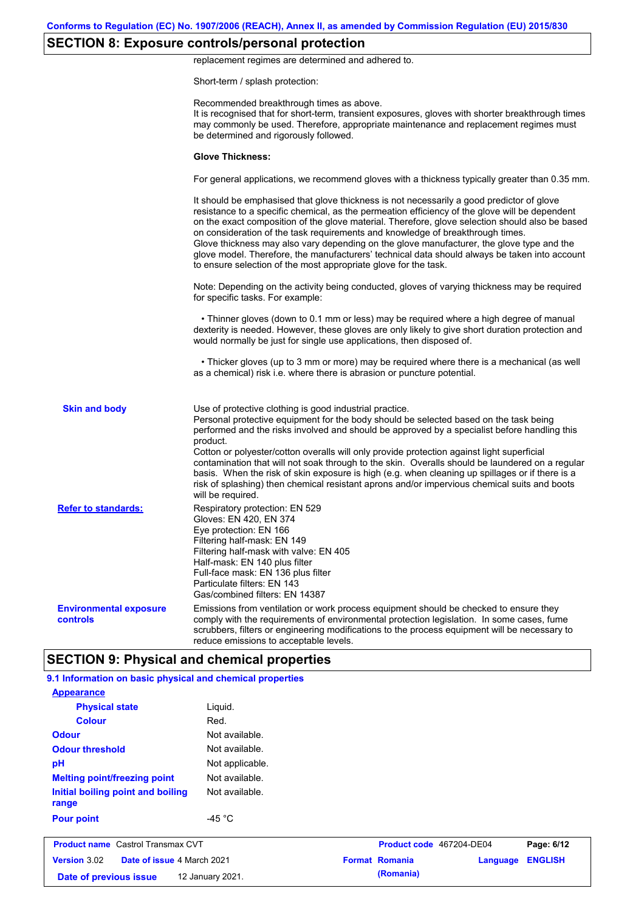# **SECTION 8: Exposure controls/personal protection**

replacement regimes are determined and adhered to.

Short-term / splash protection:

|                                           | Recommended breakthrough times as above.<br>It is recognised that for short-term, transient exposures, gloves with shorter breakthrough times<br>may commonly be used. Therefore, appropriate maintenance and replacement regimes must<br>be determined and rigorously followed.                                                                                                                                                                                                                                                                                                                                                                                                      |
|-------------------------------------------|---------------------------------------------------------------------------------------------------------------------------------------------------------------------------------------------------------------------------------------------------------------------------------------------------------------------------------------------------------------------------------------------------------------------------------------------------------------------------------------------------------------------------------------------------------------------------------------------------------------------------------------------------------------------------------------|
|                                           | <b>Glove Thickness:</b>                                                                                                                                                                                                                                                                                                                                                                                                                                                                                                                                                                                                                                                               |
|                                           | For general applications, we recommend gloves with a thickness typically greater than 0.35 mm.                                                                                                                                                                                                                                                                                                                                                                                                                                                                                                                                                                                        |
|                                           | It should be emphasised that glove thickness is not necessarily a good predictor of glove<br>resistance to a specific chemical, as the permeation efficiency of the glove will be dependent<br>on the exact composition of the glove material. Therefore, glove selection should also be based<br>on consideration of the task requirements and knowledge of breakthrough times.<br>Glove thickness may also vary depending on the glove manufacturer, the glove type and the<br>glove model. Therefore, the manufacturers' technical data should always be taken into account<br>to ensure selection of the most appropriate glove for the task.                                     |
|                                           | Note: Depending on the activity being conducted, gloves of varying thickness may be required<br>for specific tasks. For example:                                                                                                                                                                                                                                                                                                                                                                                                                                                                                                                                                      |
|                                           | • Thinner gloves (down to 0.1 mm or less) may be required where a high degree of manual<br>dexterity is needed. However, these gloves are only likely to give short duration protection and<br>would normally be just for single use applications, then disposed of.                                                                                                                                                                                                                                                                                                                                                                                                                  |
|                                           | • Thicker gloves (up to 3 mm or more) may be required where there is a mechanical (as well<br>as a chemical) risk i.e. where there is abrasion or puncture potential.                                                                                                                                                                                                                                                                                                                                                                                                                                                                                                                 |
| <b>Skin and body</b>                      | Use of protective clothing is good industrial practice.<br>Personal protective equipment for the body should be selected based on the task being<br>performed and the risks involved and should be approved by a specialist before handling this<br>product.<br>Cotton or polyester/cotton overalls will only provide protection against light superficial<br>contamination that will not soak through to the skin. Overalls should be laundered on a regular<br>basis. When the risk of skin exposure is high (e.g. when cleaning up spillages or if there is a<br>risk of splashing) then chemical resistant aprons and/or impervious chemical suits and boots<br>will be required. |
| <b>Refer to standards:</b>                | Respiratory protection: EN 529<br>Gloves: EN 420, EN 374<br>Eye protection: EN 166<br>Filtering half-mask: EN 149<br>Filtering half-mask with valve: EN 405<br>Half-mask: EN 140 plus filter<br>Full-face mask: EN 136 plus filter<br>Particulate filters: EN 143<br>Gas/combined filters: EN 14387                                                                                                                                                                                                                                                                                                                                                                                   |
| <b>Environmental exposure</b><br>controls | Emissions from ventilation or work process equipment should be checked to ensure they<br>comply with the requirements of environmental protection legislation. In some cases, fume<br>scrubbers, filters or engineering modifications to the process equipment will be necessary to<br>reduce emissions to acceptable levels.                                                                                                                                                                                                                                                                                                                                                         |
|                                           | <b>SECTION 9: Physical and chemical properties</b>                                                                                                                                                                                                                                                                                                                                                                                                                                                                                                                                                                                                                                    |

| Version 3.02<br>Date of issue 4 March 2021<br>Date of previous issue | 12 January 2021. | <b>Format Romania</b><br>(Romania) | Language | <b>ENGLISH</b> |
|----------------------------------------------------------------------|------------------|------------------------------------|----------|----------------|
| <b>Product name</b> Castrol Transmax CVT                             |                  | Product code 467204-DE04           |          | Page: 6/12     |
| <b>Pour point</b>                                                    | -45 $^{\circ}$ C |                                    |          |                |
| Initial boiling point and boiling<br>range                           | Not available.   |                                    |          |                |
| <b>Melting point/freezing point</b>                                  | Not available.   |                                    |          |                |
| pH                                                                   | Not applicable.  |                                    |          |                |
| <b>Odour threshold</b>                                               | Not available.   |                                    |          |                |
| <b>Odour</b>                                                         | Not available.   |                                    |          |                |
| <b>Colour</b>                                                        | Red.             |                                    |          |                |
| <b>Physical state</b>                                                | Liquid.          |                                    |          |                |
| <b>Appearance</b>                                                    |                  |                                    |          |                |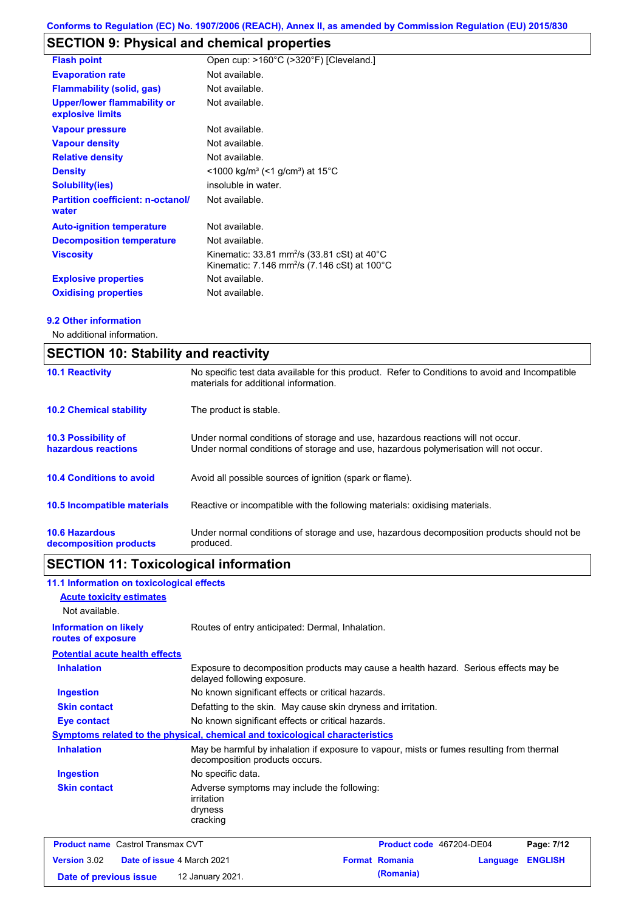# **SECTION 9: Physical and chemical properties**

| <b>Flash point</b>                                     | Open cup: >160°C (>320°F) [Cleveland.]                                                                                         |
|--------------------------------------------------------|--------------------------------------------------------------------------------------------------------------------------------|
| <b>Evaporation rate</b>                                | Not available.                                                                                                                 |
| <b>Flammability (solid, gas)</b>                       | Not available.                                                                                                                 |
| <b>Upper/lower flammability or</b><br>explosive limits | Not available.                                                                                                                 |
| <b>Vapour pressure</b>                                 | Not available.                                                                                                                 |
| <b>Vapour density</b>                                  | Not available.                                                                                                                 |
| <b>Relative density</b>                                | Not available.                                                                                                                 |
| <b>Density</b>                                         | $<$ 1000 kg/m <sup>3</sup> (<1 g/cm <sup>3</sup> ) at 15 <sup>°</sup> C                                                        |
| <b>Solubility(ies)</b>                                 | insoluble in water.                                                                                                            |
| <b>Partition coefficient: n-octanol/</b><br>water      | Not available.                                                                                                                 |
| <b>Auto-ignition temperature</b>                       | Not available.                                                                                                                 |
| <b>Decomposition temperature</b>                       | Not available.                                                                                                                 |
| <b>Viscosity</b>                                       | Kinematic: 33.81 mm <sup>2</sup> /s (33.81 cSt) at 40 $^{\circ}$ C<br>Kinematic: 7.146 mm <sup>2</sup> /s (7.146 cSt) at 100°C |
| <b>Explosive properties</b>                            | Not available.                                                                                                                 |
| <b>Oxidising properties</b>                            | Not available.                                                                                                                 |

### **9.2 Other information**

No additional information.

| <b>SECTION 10: Stability and reactivity</b>       |                                                                                                                                                                         |  |  |  |
|---------------------------------------------------|-------------------------------------------------------------------------------------------------------------------------------------------------------------------------|--|--|--|
| <b>10.1 Reactivity</b>                            | No specific test data available for this product. Refer to Conditions to avoid and Incompatible<br>materials for additional information.                                |  |  |  |
| <b>10.2 Chemical stability</b>                    | The product is stable.                                                                                                                                                  |  |  |  |
| <b>10.3 Possibility of</b><br>hazardous reactions | Under normal conditions of storage and use, hazardous reactions will not occur.<br>Under normal conditions of storage and use, hazardous polymerisation will not occur. |  |  |  |
| <b>10.4 Conditions to avoid</b>                   | Avoid all possible sources of ignition (spark or flame).                                                                                                                |  |  |  |
| <b>10.5 Incompatible materials</b>                | Reactive or incompatible with the following materials: oxidising materials.                                                                                             |  |  |  |
| <b>10.6 Hazardous</b><br>decomposition products   | Under normal conditions of storage and use, hazardous decomposition products should not be<br>produced.                                                                 |  |  |  |

# **SECTION 11: Toxicological information**

| 11.1 Information on toxicological effects          |                                                                                                                             |                          |          |                |
|----------------------------------------------------|-----------------------------------------------------------------------------------------------------------------------------|--------------------------|----------|----------------|
| <b>Acute toxicity estimates</b>                    |                                                                                                                             |                          |          |                |
| Not available.                                     |                                                                                                                             |                          |          |                |
| <b>Information on likely</b><br>routes of exposure | Routes of entry anticipated: Dermal, Inhalation.                                                                            |                          |          |                |
| <b>Potential acute health effects</b>              |                                                                                                                             |                          |          |                |
| <b>Inhalation</b>                                  | Exposure to decomposition products may cause a health hazard. Serious effects may be<br>delayed following exposure.         |                          |          |                |
| Ingestion                                          | No known significant effects or critical hazards.                                                                           |                          |          |                |
| <b>Skin contact</b>                                | Defatting to the skin. May cause skin dryness and irritation.                                                               |                          |          |                |
| <b>Eye contact</b>                                 | No known significant effects or critical hazards.                                                                           |                          |          |                |
|                                                    | Symptoms related to the physical, chemical and toxicological characteristics                                                |                          |          |                |
| <b>Inhalation</b>                                  | May be harmful by inhalation if exposure to vapour, mists or fumes resulting from thermal<br>decomposition products occurs. |                          |          |                |
| Ingestion                                          | No specific data.                                                                                                           |                          |          |                |
| <b>Skin contact</b>                                | Adverse symptoms may include the following:<br>irritation<br>dryness<br>cracking                                            |                          |          |                |
| <b>Product name</b> Castrol Transmax CVT           |                                                                                                                             | Product code 467204-DE04 |          | Page: 7/12     |
| Version 3.02<br>Date of issue 4 March 2021         |                                                                                                                             | <b>Format Romania</b>    | Language | <b>ENGLISH</b> |

**Date of previous issue (Romania)** 12 January 2021.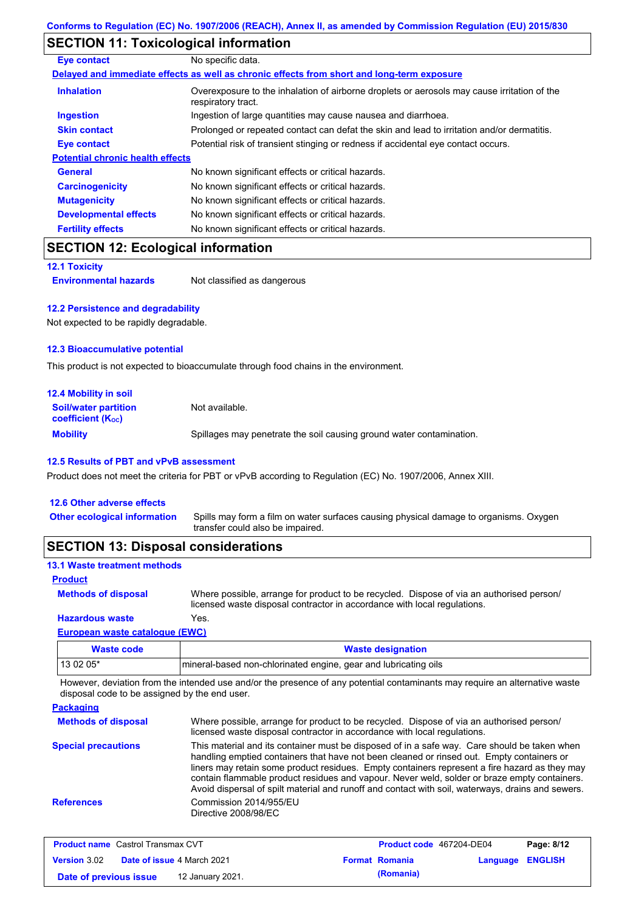# **SECTION 11: Toxicological information**

| Eye contact                             | No specific data.                                                                                                 |
|-----------------------------------------|-------------------------------------------------------------------------------------------------------------------|
|                                         | Delayed and immediate effects as well as chronic effects from short and long-term exposure                        |
| <b>Inhalation</b>                       | Overexposure to the inhalation of airborne droplets or aerosols may cause irritation of the<br>respiratory tract. |
| <b>Ingestion</b>                        | Ingestion of large quantities may cause nausea and diarrhoea.                                                     |
| <b>Skin contact</b>                     | Prolonged or repeated contact can defat the skin and lead to irritation and/or dermatitis.                        |
| <b>Eye contact</b>                      | Potential risk of transient stinging or redness if accidental eye contact occurs.                                 |
| <b>Potential chronic health effects</b> |                                                                                                                   |
| <b>General</b>                          | No known significant effects or critical hazards.                                                                 |
| <b>Carcinogenicity</b>                  | No known significant effects or critical hazards.                                                                 |
| <b>Mutagenicity</b>                     | No known significant effects or critical hazards.                                                                 |
| <b>Developmental effects</b>            | No known significant effects or critical hazards.                                                                 |
| <b>Fertility effects</b>                | No known significant effects or critical hazards.                                                                 |

## **SECTION 12: Ecological information**

**12.1 Toxicity**

**Environmental hazards** Not classified as dangerous

### **12.2 Persistence and degradability**

Not expected to be rapidly degradable.

### **12.3 Bioaccumulative potential**

This product is not expected to bioaccumulate through food chains in the environment.

| <b>12.4 Mobility in soil</b>                                  |                                                                      |
|---------------------------------------------------------------|----------------------------------------------------------------------|
| <b>Soil/water partition</b><br>coefficient (K <sub>oc</sub> ) | Not available.                                                       |
| <b>Mobility</b>                                               | Spillages may penetrate the soil causing ground water contamination. |

### **12.5 Results of PBT and vPvB assessment**

Product does not meet the criteria for PBT or vPvB according to Regulation (EC) No. 1907/2006, Annex XIII.

| <b>SECTION 13: Disposal considerations</b> |                                                                                                                           |
|--------------------------------------------|---------------------------------------------------------------------------------------------------------------------------|
| <b>Other ecological information</b>        | Spills may form a film on water surfaces causing physical damage to organisms. Oxygen<br>transfer could also be impaired. |
| 12.6 Other adverse effects                 |                                                                                                                           |

### **13.1 Waste treatment methods**

### **Product**

Where possible, arrange for product to be recycled. Dispose of via an authorised person/ licensed waste disposal contractor in accordance with local regulations. **Methods of disposal**

### **Hazardous waste** Yes.

| European waste cataloque (EWC) |                                                                 |  |
|--------------------------------|-----------------------------------------------------------------|--|
| Waste code                     | <b>Waste designation</b>                                        |  |
| 13 02 05*                      | mineral-based non-chlorinated engine, gear and lubricating oils |  |

However, deviation from the intended use and/or the presence of any potential contaminants may require an alternative waste disposal code to be assigned by the end user.

| <b>Packaging</b>           |                                                                                                                                                                                                                                                                                                                                                                                                                                                                                                 |
|----------------------------|-------------------------------------------------------------------------------------------------------------------------------------------------------------------------------------------------------------------------------------------------------------------------------------------------------------------------------------------------------------------------------------------------------------------------------------------------------------------------------------------------|
| <b>Methods of disposal</b> | Where possible, arrange for product to be recycled. Dispose of via an authorised person/<br>licensed waste disposal contractor in accordance with local regulations.                                                                                                                                                                                                                                                                                                                            |
| <b>Special precautions</b> | This material and its container must be disposed of in a safe way. Care should be taken when<br>handling emptied containers that have not been cleaned or rinsed out. Empty containers or<br>liners may retain some product residues. Empty containers represent a fire hazard as they may<br>contain flammable product residues and vapour. Never weld, solder or braze empty containers.<br>Avoid dispersal of spilt material and runoff and contact with soil, waterways, drains and sewers. |
| <b>References</b>          | Commission 2014/955/EU<br>Directive 2008/98/EC                                                                                                                                                                                                                                                                                                                                                                                                                                                  |

| <b>Product name</b> Castrol Transmax CVT |                                   |                  | <b>Product code</b> 467204-DE04 |                       | Page: 8/12       |  |
|------------------------------------------|-----------------------------------|------------------|---------------------------------|-----------------------|------------------|--|
| <b>Version 3.02</b>                      | <b>Date of issue 4 March 2021</b> |                  |                                 | <b>Format Romania</b> | Language ENGLISH |  |
| Date of previous issue                   |                                   | 12 January 2021. |                                 | (Romania)             |                  |  |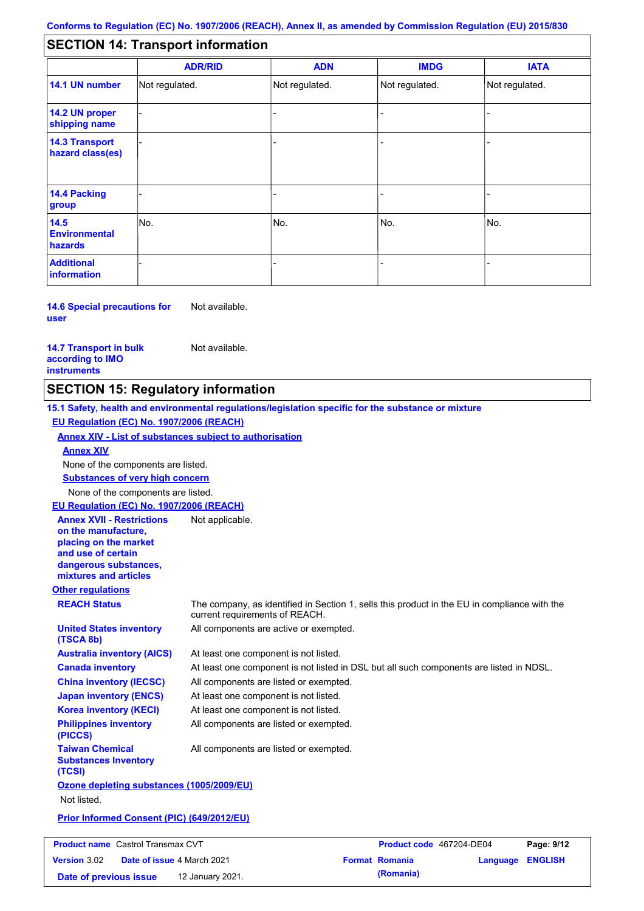#### - - - - - - - - - Not regulated. Not regulated. Not regulated. - - - **SECTION 14: Transport information ADR/RID IMDG IATA 14.1 UN number 14.2 UN proper shipping name 14.3 Transport hazard class(es) 14.4 Packing group ADN Additional information 14.5 Environmental hazards** No. 1988 | No. 1989 | No. 1989 | No. 1989 | No. 1989 | No. 1989 | No. 1989 | No. 1989 | No. 1989 | No. 1989 | Not regulated. - -<br>No. - -

**14.6 Special precautions for user** Not available.

**14.7 Transport in bulk according to IMO instruments**

Not available.

## **SECTION 15: Regulatory information**

**Other regulations REACH Status** The company, as identified in Section 1, sells this product in the EU in compliance with the current requirements of REACH. **15.1 Safety, health and environmental regulations/legislation specific for the substance or mixture EU Regulation (EC) No. 1907/2006 (REACH) Annex XIV - List of substances subject to authorisation Substances of very high concern** None of the components are listed. At least one component is not listed. At least one component is not listed in DSL but all such components are listed in NDSL. All components are listed or exempted. At least one component is not listed. All components are active or exempted. At least one component is not listed. All components are listed or exempted. **United States inventory (TSCA 8b) Australia inventory (AICS) Canada inventory China inventory (IECSC) Japan inventory (ENCS) Korea inventory (KECI) Philippines inventory (PICCS) Taiwan Chemical Substances Inventory (TCSI)** All components are listed or exempted. **Ozone depleting substances (1005/2009/EU)** Not listed. **Prior Informed Consent (PIC) (649/2012/EU)** None of the components are listed. **Annex XIV EU Regulation (EC) No. 1907/2006 (REACH) Annex XVII - Restrictions on the manufacture, placing on the market and use of certain dangerous substances, mixtures and articles** Not applicable.

| <b>Product name</b> Castrol Transmax CVT |  | <b>Product code</b> 467204-DE04   |  | Page: 9/12            |                  |  |
|------------------------------------------|--|-----------------------------------|--|-----------------------|------------------|--|
| <b>Version 3.02</b>                      |  | <b>Date of issue 4 March 2021</b> |  | <b>Format Romania</b> | Language ENGLISH |  |
| Date of previous issue                   |  | 12 January 2021.                  |  | (Romania)             |                  |  |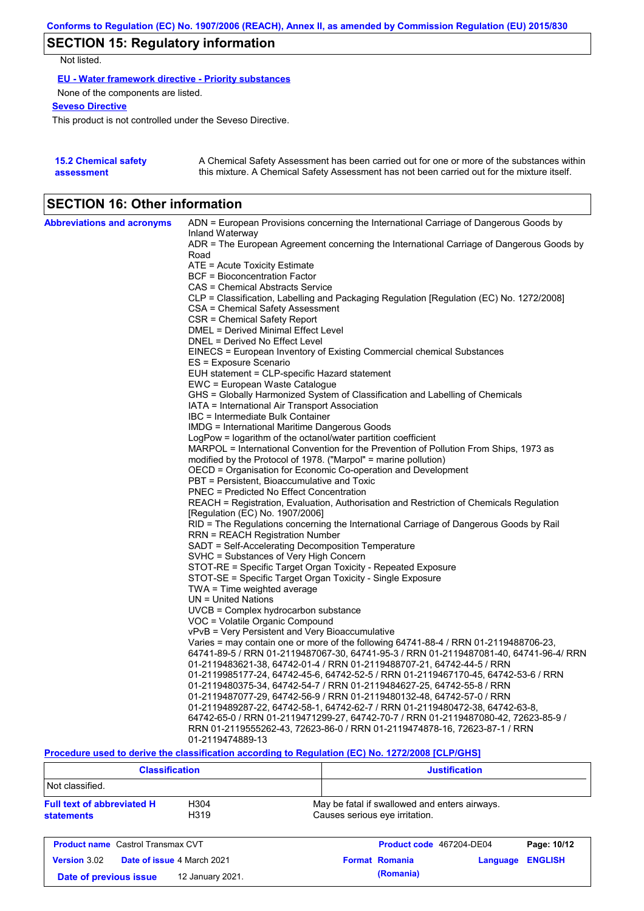# **SECTION 15: Regulatory information**

Not listed.

**EU - Water framework directive - Priority substances**

None of the components are listed.

**Seveso Directive**

This product is not controlled under the Seveso Directive.

| <b>15.2 Chemical safety</b> | A Chemical Safety Assessment has been carried out for one or more of the substances within  |
|-----------------------------|---------------------------------------------------------------------------------------------|
| assessment                  | this mixture. A Chemical Safety Assessment has not been carried out for the mixture itself. |

## **SECTION 16: Other information**

| <b>Abbreviations and acronyms</b> | ADN = European Provisions concerning the International Carriage of Dangerous Goods by                                        |
|-----------------------------------|------------------------------------------------------------------------------------------------------------------------------|
|                                   | Inland Waterway                                                                                                              |
|                                   | ADR = The European Agreement concerning the International Carriage of Dangerous Goods by                                     |
|                                   | Road                                                                                                                         |
|                                   | ATE = Acute Toxicity Estimate                                                                                                |
|                                   | <b>BCF</b> = Bioconcentration Factor                                                                                         |
|                                   | CAS = Chemical Abstracts Service<br>CLP = Classification, Labelling and Packaging Regulation [Regulation (EC) No. 1272/2008] |
|                                   |                                                                                                                              |
|                                   | CSA = Chemical Safety Assessment<br>CSR = Chemical Safety Report                                                             |
|                                   | DMEL = Derived Minimal Effect Level                                                                                          |
|                                   | DNEL = Derived No Effect Level                                                                                               |
|                                   | EINECS = European Inventory of Existing Commercial chemical Substances                                                       |
|                                   | ES = Exposure Scenario                                                                                                       |
|                                   | EUH statement = CLP-specific Hazard statement                                                                                |
|                                   | EWC = European Waste Catalogue                                                                                               |
|                                   | GHS = Globally Harmonized System of Classification and Labelling of Chemicals                                                |
|                                   | IATA = International Air Transport Association                                                                               |
|                                   | IBC = Intermediate Bulk Container                                                                                            |
|                                   | IMDG = International Maritime Dangerous Goods                                                                                |
|                                   | LogPow = logarithm of the octanol/water partition coefficient                                                                |
|                                   | MARPOL = International Convention for the Prevention of Pollution From Ships, 1973 as                                        |
|                                   | modified by the Protocol of 1978. ("Marpol" = marine pollution)                                                              |
|                                   | OECD = Organisation for Economic Co-operation and Development                                                                |
|                                   | PBT = Persistent, Bioaccumulative and Toxic                                                                                  |
|                                   | PNEC = Predicted No Effect Concentration                                                                                     |
|                                   | REACH = Registration, Evaluation, Authorisation and Restriction of Chemicals Regulation                                      |
|                                   | [Regulation (EC) No. 1907/2006]                                                                                              |
|                                   | RID = The Regulations concerning the International Carriage of Dangerous Goods by Rail                                       |
|                                   | RRN = REACH Registration Number                                                                                              |
|                                   | SADT = Self-Accelerating Decomposition Temperature                                                                           |
|                                   | SVHC = Substances of Very High Concern                                                                                       |
|                                   | STOT-RE = Specific Target Organ Toxicity - Repeated Exposure                                                                 |
|                                   | STOT-SE = Specific Target Organ Toxicity - Single Exposure                                                                   |
|                                   | TWA = Time weighted average                                                                                                  |
|                                   | $UN = United Nations$                                                                                                        |
|                                   | UVCB = Complex hydrocarbon substance                                                                                         |
|                                   | VOC = Volatile Organic Compound                                                                                              |
|                                   | vPvB = Very Persistent and Very Bioaccumulative                                                                              |
|                                   | Varies = may contain one or more of the following 64741-88-4 / RRN 01-2119488706-23,                                         |
|                                   | 64741-89-5 / RRN 01-2119487067-30, 64741-95-3 / RRN 01-2119487081-40, 64741-96-4/ RRN                                        |
|                                   | 01-2119483621-38, 64742-01-4 / RRN 01-2119488707-21, 64742-44-5 / RRN                                                        |
|                                   | 01-2119985177-24, 64742-45-6, 64742-52-5 / RRN 01-2119467170-45, 64742-53-6 / RRN                                            |
|                                   | 01-2119480375-34, 64742-54-7 / RRN 01-2119484627-25, 64742-55-8 / RRN                                                        |
|                                   | 01-2119487077-29, 64742-56-9 / RRN 01-2119480132-48, 64742-57-0 / RRN                                                        |
|                                   | 01-2119489287-22, 64742-58-1, 64742-62-7 / RRN 01-2119480472-38, 64742-63-8,                                                 |
|                                   | 64742-65-0 / RRN 01-2119471299-27, 64742-70-7 / RRN 01-2119487080-42, 72623-85-9 /                                           |
|                                   | RRN 01-2119555262-43, 72623-86-0 / RRN 01-2119474878-16, 72623-87-1 / RRN                                                    |
|                                   | 01-2119474889-13                                                                                                             |

**Procedure used to derive the classification according to Regulation (EC) No. 1272/2008 [CLP/GHS]**

| <b>Justification</b>                                                            |  |  |  |
|---------------------------------------------------------------------------------|--|--|--|
|                                                                                 |  |  |  |
| May be fatal if swallowed and enters airways.<br>Causes serious eye irritation. |  |  |  |
| Product code 467204-DE04<br>Page: 10/12                                         |  |  |  |
| <b>ENGLISH</b><br><b>Format Romania</b><br>Language<br>(Romania)                |  |  |  |
|                                                                                 |  |  |  |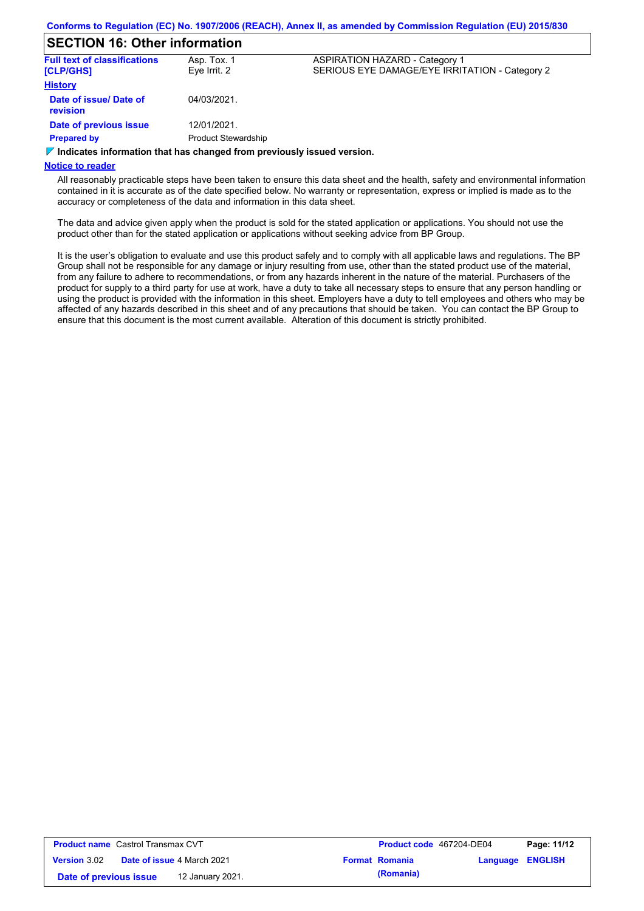### **SECTION 16: Other information**

| <b>Full text of classifications</b><br>[CLP/GHS] | Asp. Tox. 1<br>Eve Irrit. 2 | <b>ASPIRATION HAZARD - Category 1</b><br>SERIOUS EYE DAMAGE/EYE IRRITATION - Category 2 |
|--------------------------------------------------|-----------------------------|-----------------------------------------------------------------------------------------|
| <b>History</b>                                   |                             |                                                                                         |
| Date of issue/ Date of<br><b>revision</b>        | 04/03/2021.                 |                                                                                         |
| Date of previous issue                           | 12/01/2021.                 |                                                                                         |
| <b>Prepared by</b>                               | <b>Product Stewardship</b>  |                                                                                         |
|                                                  |                             |                                                                                         |

### **Indicates information that has changed from previously issued version.**

### **Notice to reader**

All reasonably practicable steps have been taken to ensure this data sheet and the health, safety and environmental information contained in it is accurate as of the date specified below. No warranty or representation, express or implied is made as to the accuracy or completeness of the data and information in this data sheet.

The data and advice given apply when the product is sold for the stated application or applications. You should not use the product other than for the stated application or applications without seeking advice from BP Group.

It is the user's obligation to evaluate and use this product safely and to comply with all applicable laws and regulations. The BP Group shall not be responsible for any damage or injury resulting from use, other than the stated product use of the material, from any failure to adhere to recommendations, or from any hazards inherent in the nature of the material. Purchasers of the product for supply to a third party for use at work, have a duty to take all necessary steps to ensure that any person handling or using the product is provided with the information in this sheet. Employers have a duty to tell employees and others who may be affected of any hazards described in this sheet and of any precautions that should be taken. You can contact the BP Group to ensure that this document is the most current available. Alteration of this document is strictly prohibited.

| <b>Product name</b> Castrol Transmax CVT |  |                                   | <b>Product code</b> 467204-DE04 |                       | Page: 11/12 |                |
|------------------------------------------|--|-----------------------------------|---------------------------------|-----------------------|-------------|----------------|
| <b>Version</b> 3.02                      |  | <b>Date of issue 4 March 2021</b> |                                 | <b>Format Romania</b> | Language    | <b>ENGLISH</b> |
| Date of previous issue                   |  | 12 January 2021.                  |                                 | (Romania)             |             |                |